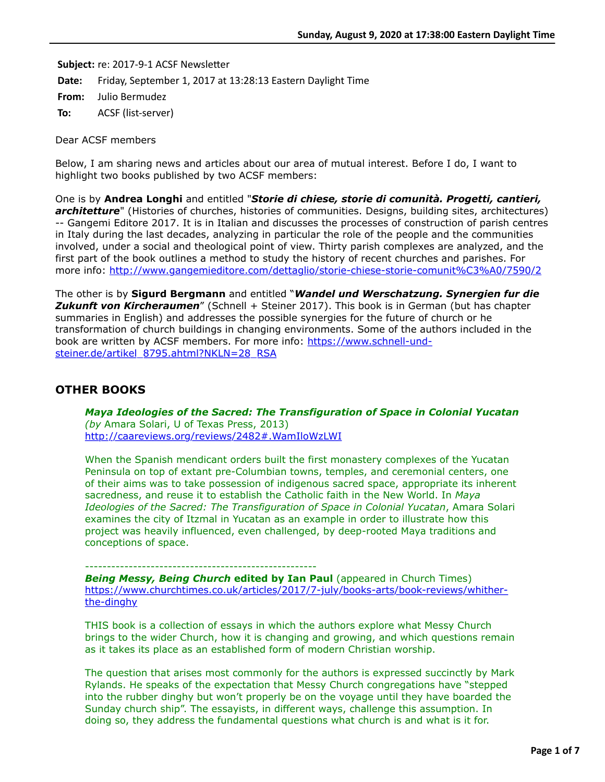**Subject:** re: 2017-9-1 ACSF Newsletter

**Date:** Friday, September 1, 2017 at 13:28:13 Eastern Daylight Time

**From:** Julio Bermudez

**To:** ACSF (list-server)

Dear ACSF members

Below, I am sharing news and articles about our area of mutual interest. Before I do, I want to highlight two books published by two ACSF members:

One is by **Andrea Longhi** and entitled "*Storie di chiese, storie di comunità. Progetti, cantieri, architetture*" (Histories of churches, histories of communities. Designs, building sites, architectures) -- Gangemi Editore 2017. It is in Italian and discusses the processes of construction of parish centres in Italy during the last decades, analyzing in particular the role of the people and the communities involved, under a social and theological point of view. Thirty parish complexes are analyzed, and the first part of the book outlines a method to study the history of recent churches and parishes. For more info: <http://www.gangemieditore.com/dettaglio/storie-chiese-storie-comunit%C3%A0/7590/2>

The other is by **Sigurd Bergmann** and entitled "*Wandel und Werschatzung. Synergien fur die* **Zukunft von Kircheraumen**" (Schnell + Steiner 2017). This book is in German (but has chapter summaries in English) and addresses the possible synergies for the future of church or he transformation of church buildings in changing environments. Some of the authors included in the [book are written by ACSF members. For more info: https://www.schnell-und](https://www.schnell-und-steiner.de/artikel_8795.ahtml?NKLN=28_RSA)steiner.de/artikel\_8795.ahtml?NKLN=28\_RSA

# **OTHER BOOKS**

*Maya Ideologies of the Sacred: The Transfiguration of Space in Colonial Yucatan (by* Amara Solari, U of Texas Press, 2013) <http://caareviews.org/reviews/2482#.WamIloWzLWI>

When the Spanish mendicant orders built the first monastery complexes of the Yucatan Peninsula on top of extant pre-Columbian towns, temples, and ceremonial centers, one of their aims was to take possession of indigenous sacred space, appropriate its inherent sacredness, and reuse it to establish the Catholic faith in the New World. In *Maya Ideologies of the Sacred: The Transfiguration of Space in Colonial Yucatan*, Amara Solari examines the city of Itzmal in Yucatan as an example in order to illustrate how this project was heavily influenced, even challenged, by deep-rooted Maya traditions and conceptions of space.

-----------------------------------------------------

**Being Messy, Being Church edited by Ian Paul** (appeared in Church Times) [https://www.churchtimes.co.uk/articles/2017/7-july/books-arts/book-reviews/whither](https://www.churchtimes.co.uk/articles/2017/7-july/books-arts/book-reviews/whither-the-dinghy)the-dinghy

THIS book is a collection of essays in which the authors explore what Messy Church brings to the wider Church, how it is changing and growing, and which questions remain as it takes its place as an established form of modern Christian worship.

The question that arises most commonly for the authors is expressed succinctly by Mark Rylands. He speaks of the expectation that Messy Church congregations have "stepped into the rubber dinghy but won't properly be on the voyage until they have boarded the Sunday church ship". The essayists, in different ways, challenge this assumption. In doing so, they address the fundamental questions what church is and what is it for.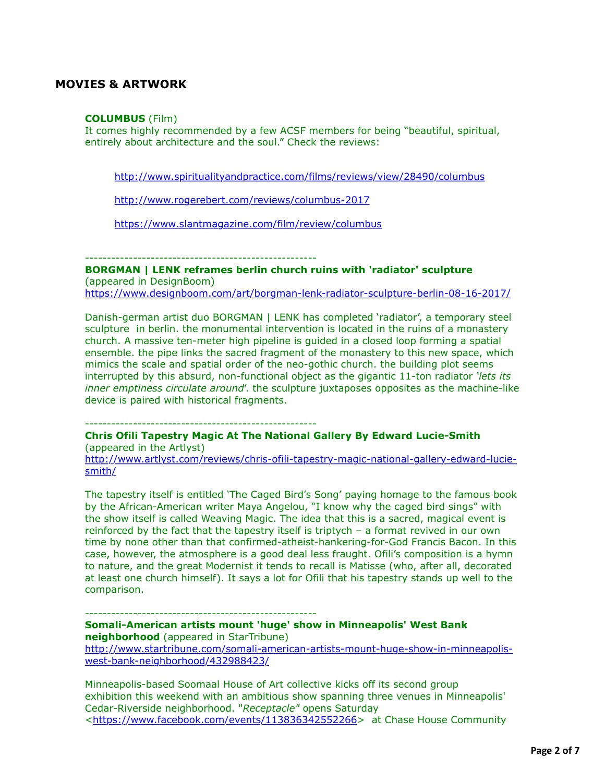# **MOVIES & ARTWORK**

### **COLUMBUS** (Film)

It comes highly recommended by a few ACSF members for being "beautiful, spiritual, entirely about architecture and the soul." Check the reviews:

<http://www.spiritualityandpractice.com/films/reviews/view/28490/columbus>

<http://www.rogerebert.com/reviews/columbus-2017>

<https://www.slantmagazine.com/film/review/columbus>

-----------------------------------------------------

**BORGMAN | LENK reframes berlin church ruins with 'radiator' sculpture** (appeared in DesignBoom) <https://www.designboom.com/art/borgman-lenk-radiator-sculpture-berlin-08-16-2017/>

Danish-german artist duo BORGMAN | LENK has completed 'radiator', a temporary steel sculpture in berlin. the monumental intervention is located in the ruins of a monastery church. A massive ten-meter high pipeline is guided in a closed loop forming a spatial ensemble. the pipe links the sacred fragment of the monastery to this new space, which mimics the scale and spatial order of the neo-gothic church. the building plot seems interrupted by this absurd, non-functional object as the gigantic 11-ton radiator *'lets its inner emptiness circulate around*'. the sculpture juxtaposes opposites as the machine-like device is paired with historical fragments.

-----------------------------------------------------

**Chris Ofili Tapestry Magic At The National Gallery By Edward Lucie-Smith** (appeared in the Artlyst)

[http://www.artlyst.com/reviews/chris-ofili-tapestry-magic-national-gallery-edward-lucie](http://www.artlyst.com/reviews/chris-ofili-tapestry-magic-national-gallery-edward-lucie-smith/)smith/

The tapestry itself is entitled 'The Caged Bird's Song' paying homage to the famous book by the African-American writer Maya Angelou, "I know why the caged bird sings" with the show itself is called Weaving Magic. The idea that this is a sacred, magical event is reinforced by the fact that the tapestry itself is triptych – a format revived in our own time by none other than that confirmed-atheist-hankering-for-God Francis Bacon. In this case, however, the atmosphere is a good deal less fraught. Ofili's composition is a hymn to nature, and the great Modernist it tends to recall is Matisse (who, after all, decorated at least one church himself). It says a lot for Ofili that his tapestry stands up well to the comparison.

----------------------------------------------------- **Somali-American artists mount 'huge' show in Minneapolis' West Bank neighborhood** (appeared in StarTribune) [http://www.startribune.com/somali-american-artists-mount-huge-show-in-minneapolis](http://www.startribune.com/somali-american-artists-mount-huge-show-in-minneapolis-west-bank-neighborhood/432988423/)west-bank-neighborhood/432988423/

Minneapolis-based Soomaal House of Art collective kicks off its second group exhibition this weekend with an ambitious show spanning three venues in Minneapolis' Cedar-Riverside neighborhood. "*Receptacle"* opens Saturday <[https://www.facebook.com/events/113836342552266>](https://www.facebook.com/events/113836342552266) at Chase House Community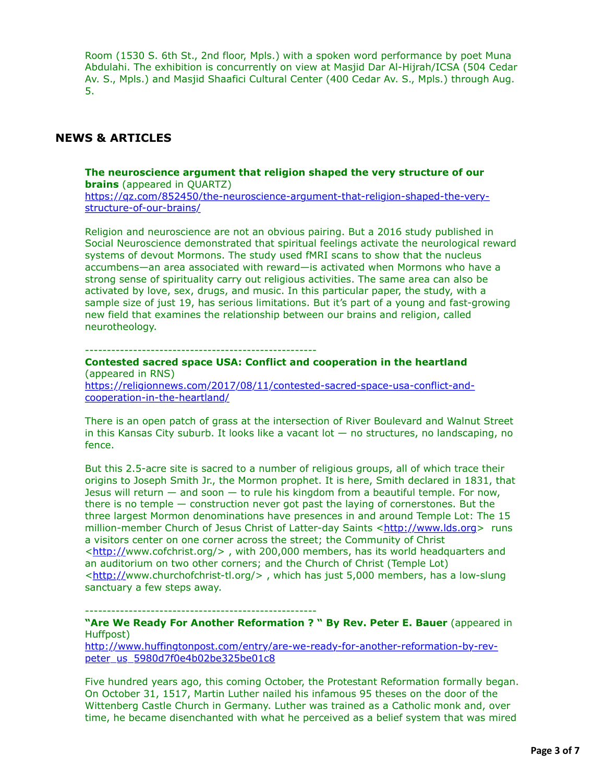Room (1530 S. 6th St., 2nd floor, Mpls.) with a spoken word performance by poet Muna Abdulahi. The exhibition is concurrently on view at Masjid Dar Al-Hijrah/ICSA (504 Cedar Av. S., Mpls.) and Masjid Shaafici Cultural Center (400 Cedar Av. S., Mpls.) through Aug. 5.

# **NEWS & ARTICLES**

## **The neuroscience argument that religion shaped the very structure of our brains** (appeared in QUARTZ)

[https://qz.com/852450/the-neuroscience-argument-that-religion-shaped-the-very](https://qz.com/852450/the-neuroscience-argument-that-religion-shaped-the-very-structure-of-our-brains/)structure-of-our-brains/

Religion and neuroscience are not an obvious pairing. But a 2016 study published in Social Neuroscience demonstrated that spiritual feelings activate the neurological reward systems of devout Mormons. The study used fMRI scans to show that the nucleus accumbens—an area associated with reward—is activated when Mormons who have a strong sense of spirituality carry out religious activities. The same area can also be activated by love, sex, drugs, and music. In this particular paper, the study, with a sample size of just 19, has serious limitations. But it's part of a young and fast-growing new field that examines the relationship between our brains and religion, called neurotheology.

#### -----------------------------------------------------

### **Contested sacred space USA: Conflict and cooperation in the heartland** (appeared in RNS)

[https://religionnews.com/2017/08/11/contested-sacred-space-usa-conflict-and](https://religionnews.com/2017/08/11/contested-sacred-space-usa-conflict-and-cooperation-in-the-heartland/)cooperation-in-the-heartland/

There is an open patch of grass at the intersection of River Boulevard and Walnut Street in this Kansas City suburb. It looks like a vacant lot  $-$  no structures, no landscaping, no fence.

But this 2.5-acre site is sacred to a number of religious groups, all of which trace their origins to Joseph Smith Jr., the Mormon prophet. It is here, Smith declared in 1831, that Jesus will return  $-$  and soon  $-$  to rule his kingdom from a beautiful temple. For now, there is no temple — construction never got past the laying of cornerstones. But the three largest Mormon denominations have presences in and around Temple Lot: The 15 million-member Church of Jesus Christ of Latter-day Saints <[http://www.lds.org>](http://www.lds.org/) runs a visitors center on one corner across the street; the Community of Christ <<http://>www.cofchrist.org/> , with 200,000 members, has its world headquarters and an auditorium on two other corners; and the Church of Christ (Temple Lot) <<http://>www.churchofchrist-tl.org/> , which has just 5,000 members, has a low-slung sanctuary a few steps away.

-----------------------------------------------------

## **"Are We Ready For Another Reformation ? " By Rev. Peter E. Bauer** (appeared in Huffpost)

[http://www.huffingtonpost.com/entry/are-we-ready-for-another-reformation-by-rev](http://www.huffingtonpost.com/entry/are-we-ready-for-another-reformation-by-rev-peter_us_5980d7f0e4b02be325be01c8)peter\_us\_5980d7f0e4b02be325be01c8

Five hundred years ago, this coming October, the Protestant Reformation formally began. On October 31, 1517, Martin Luther nailed his infamous 95 theses on the door of the Wittenberg Castle Church in Germany. Luther was trained as a Catholic monk and, over time, he became disenchanted with what he perceived as a belief system that was mired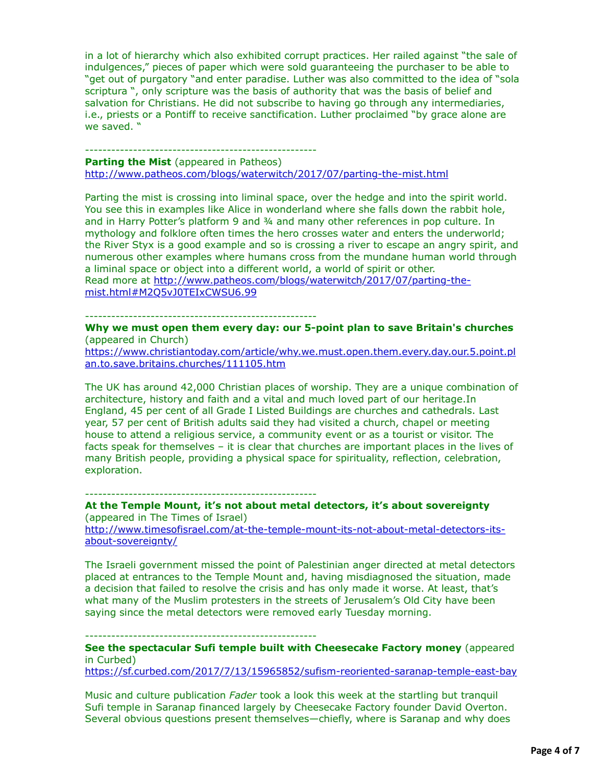in a lot of hierarchy which also exhibited corrupt practices. Her railed against "the sale of indulgences," pieces of paper which were sold guaranteeing the purchaser to be able to "get out of purgatory "and enter paradise. Luther was also committed to the idea of "sola scriptura ", only scripture was the basis of authority that was the basis of belief and salvation for Christians. He did not subscribe to having go through any intermediaries, i.e., priests or a Pontiff to receive sanctification. Luther proclaimed "by grace alone are we saved. "

## -----------------------------------------------------

#### **Parting the Mist** (appeared in Patheos)

<http://www.patheos.com/blogs/waterwitch/2017/07/parting-the-mist.html>

Parting the mist is crossing into liminal space, over the hedge and into the spirit world. You see this in examples like Alice in wonderland where she falls down the rabbit hole, and in Harry Potter's platform 9 and ¾ and many other references in pop culture. In mythology and folklore often times the hero crosses water and enters the underworld; the River Styx is a good example and so is crossing a river to escape an angry spirit, and numerous other examples where humans cross from the mundane human world through a liminal space or object into a different world, a world of spirit or other. [Read more at http://www.patheos.com/blogs/waterwitch/2017/07/parting-the-](http://www.patheos.com/blogs/waterwitch/2017/07/parting-the-mist.html#M2Q5vJ0TEIxCWSU6.99)

mist.html#M2Q5vJ0TEIxCWSU6.99

-----------------------------------------------------

**Why we must open them every day: our 5-point plan to save Britain's churches** (appeared in Church)

[https://www.christiantoday.com/article/why.we.must.open.them.every.day.our.5.point.pl](https://www.christiantoday.com/article/why.we.must.open.them.every.day.our.5.point.plan.to.save.britains.churches/111105.htm) an.to.save.britains.churches/111105.htm

The UK has around 42,000 Christian places of worship. They are a unique combination of architecture, history and faith and a vital and much loved part of our heritage.In England, 45 per cent of all Grade I Listed Buildings are churches and cathedrals. Last year, 57 per cent of British adults said they had visited a church, chapel or meeting house to attend a religious service, a community event or as a tourist or visitor. The facts speak for themselves – it is clear that churches are important places in the lives of many British people, providing a physical space for spirituality, reflection, celebration, exploration.

-----------------------------------------------------

### **At the Temple Mount, it's not about metal detectors, it's about sovereignty** (appeared in The Times of Israel)

[http://www.timesofisrael.com/at-the-temple-mount-its-not-about-metal-detectors-its](http://www.timesofisrael.com/at-the-temple-mount-its-not-about-metal-detectors-its-about-sovereignty/)about-sovereignty/

The Israeli government missed the point of Palestinian anger directed at metal detectors placed at entrances to the Temple Mount and, having misdiagnosed the situation, made a decision that failed to resolve the crisis and has only made it worse. At least, that's what many of the Muslim protesters in the streets of Jerusalem's Old City have been saying since the metal detectors were removed early Tuesday morning.

-----------------------------------------------------

**See the spectacular Sufi temple built with Cheesecake Factory money** (appeared in Curbed)

<https://sf.curbed.com/2017/7/13/15965852/sufism-reoriented-saranap-temple-east-bay>

Music and culture publication *Fader* took a look this week at the startling but tranquil Sufi temple in Saranap financed largely by Cheesecake Factory founder David Overton. Several obvious questions present themselves—chiefly, where is Saranap and why does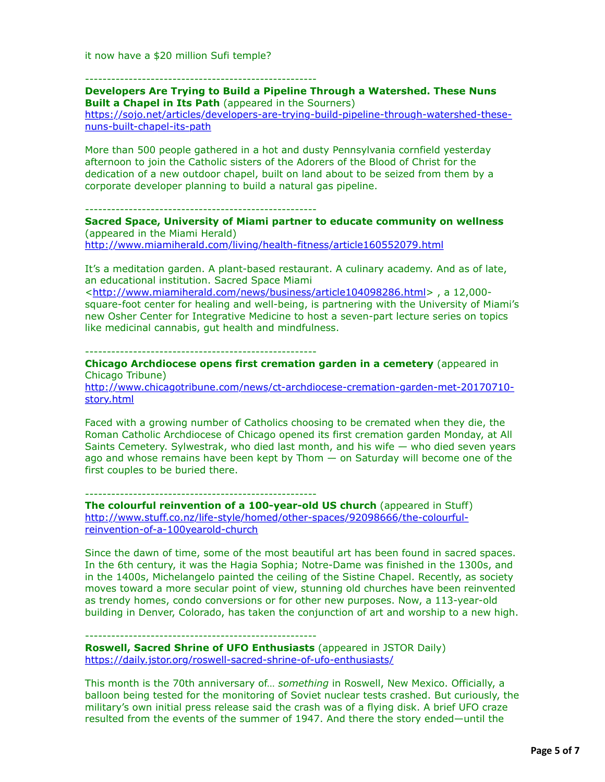it now have a \$20 million Sufi temple?

-----------------------------------------------------

**Developers Are Trying to Build a Pipeline Through a Watershed. These Nuns Built a Chapel in Its Path** (appeared in the Sourners)

[https://sojo.net/articles/developers-are-trying-build-pipeline-through-watershed-these](https://sojo.net/articles/developers-are-trying-build-pipeline-through-watershed-these-nuns-built-chapel-its-path)nuns-built-chapel-its-path

More than 500 people gathered in a hot and dusty Pennsylvania cornfield yesterday afternoon to join the Catholic sisters of the Adorers of the Blood of Christ for the dedication of a new outdoor chapel, built on land about to be seized from them by a corporate developer planning to build a natural gas pipeline.

-----------------------------------------------------

**Sacred Space, University of Miami partner to educate community on wellness** (appeared in the Miami Herald) <http://www.miamiherald.com/living/health-fitness/article160552079.html>

It's a meditation garden. A plant-based restaurant. A culinary academy. And as of late, an educational institution. Sacred Space Miami

<<http://www.miamiherald.com/news/business/article104098286.html>> , a 12,000 square-foot center for healing and well-being, is partnering with the University of Miami's new Osher Center for Integrative Medicine to host a seven-part lecture series on topics like medicinal cannabis, gut health and mindfulness.

#### -----------------------------------------------------

**Chicago Archdiocese opens first cremation garden in a cemetery** (appeared in Chicago Tribune) [http://www.chicagotribune.com/news/ct-archdiocese-cremation-garden-met-20170710-](http://www.chicagotribune.com/news/ct-archdiocese-cremation-garden-met-20170710-story.html)

story.html

Faced with a growing number of Catholics choosing to be cremated when they die, the Roman Catholic Archdiocese of Chicago opened its first cremation garden Monday, at All Saints Cemetery. Sylwestrak, who died last month, and his wife  $-$  who died seven years ago and whose remains have been kept by Thom — on Saturday will become one of the first couples to be buried there.

-----------------------------------------------------

**The colourful reinvention of a 100-year-old US church** (appeared in Stuff) [http://www.stuff.co.nz/life-style/homed/other-spaces/92098666/the-colourful](http://www.stuff.co.nz/life-style/homed/other-spaces/92098666/the-colourful-reinvention-of-a-100yearold-church)reinvention-of-a-100yearold-church

Since the dawn of time, some of the most beautiful art has been found in sacred spaces. In the 6th century, it was the Hagia Sophia; Notre-Dame was finished in the 1300s, and in the 1400s, Michelangelo painted the ceiling of the Sistine Chapel. Recently, as society moves toward a more secular point of view, stunning old churches have been reinvented as trendy homes, condo conversions or for other new purposes. Now, a 113-year-old building in Denver, Colorado, has taken the conjunction of art and worship to a new high.

-----------------------------------------------------

**Roswell, Sacred Shrine of UFO Enthusiasts** (appeared in JSTOR Daily) <https://daily.jstor.org/roswell-sacred-shrine-of-ufo-enthusiasts/>

This month is the 70th anniversary of… *something* in Roswell, New Mexico. Officially, a balloon being tested for the monitoring of Soviet nuclear tests crashed. But curiously, the military's own initial press release said the crash was of a flying disk. A brief UFO craze resulted from the events of the summer of 1947. And there the story ended—until the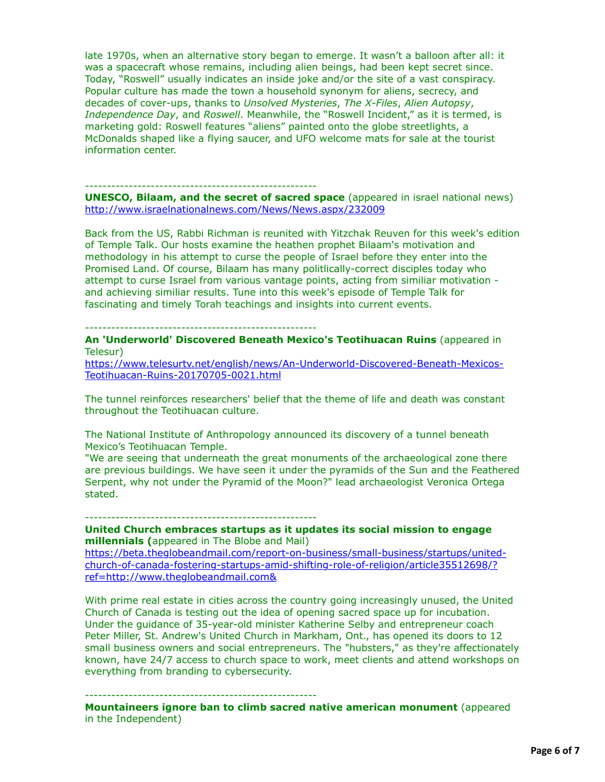late 1970s, when an alternative story began to emerge. It wasn't a balloon after all: it was a spacecraft whose remains, including alien beings, had been kept secret since. Today, "Roswell" usually indicates an inside joke and/or the site of a vast conspiracy. Popular culture has made the town a household synonym for aliens, secrecy, and decades of cover-ups, thanks to *Unsolved Mysteries*, *The X-Files*, *Alien Autopsy*, *Independence Day*, and *Roswell*. Meanwhile, the "Roswell Incident," as it is termed, is marketing gold: Roswell features "aliens" painted onto the globe streetlights, a McDonalds shaped like a flying saucer, and UFO welcome mats for sale at the tourist information center.

#### -----------------------------------------------------

**UNESCO, Bilaam, and the secret of sacred space** (appeared in israel national news) <http://www.israelnationalnews.com/News/News.aspx/232009>

Back from the US, Rabbi Richman is reunited with Yitzchak Reuven for this week's edition of Temple Talk. Our hosts examine the heathen prophet Bilaam's motivation and methodology in his attempt to curse the people of Israel before they enter into the Promised Land. Of course, Bilaam has many politlically-correct disciples today who attempt to curse Israel from various vantage points, acting from similiar motivation and achieving similiar results. Tune into this week's episode of Temple Talk for fascinating and timely Torah teachings and insights into current events.

#### -----------------------------------------------------

**An 'Underworld' Discovered Beneath Mexico's Teotihuacan Ruins** (appeared in Telesur)

[https://www.telesurtv.net/english/news/An-Underworld-Discovered-Beneath-Mexicos-](https://www.telesurtv.net/english/news/An-Underworld-Discovered-Beneath-Mexicos-Teotihuacan-Ruins-20170705-0021.html)Teotihuacan-Ruins-20170705-0021.html

The tunnel reinforces researchers' belief that the theme of life and death was constant throughout the Teotihuacan culture.

The National Institute of Anthropology announced its discovery of a tunnel beneath Mexico's Teotihuacan Temple.

"We are seeing that underneath the great monuments of the archaeological zone there are previous buildings. We have seen it under the pyramids of the Sun and the Feathered Serpent, why not under the Pyramid of the Moon?" lead archaeologist Veronica Ortega stated.

-----------------------------------------------------

**United Church embraces startups as it updates its social mission to engage millennials (**appeared in The Blobe and Mail)

[https://beta.theglobeandmail.com/report-on-business/small-business/startups/united](https://beta.theglobeandmail.com/report-on-business/small-business/startups/united-church-of-canada-fostering-startups-amid-shifting-role-of-religion/article35512698/?ref=http://www.theglobeandmail.com&)church-of-canada-fostering-startups-amid-shifting-role-of-religion/article35512698/? ref=http://www.theglobeandmail.com&

With prime real estate in cities across the country going increasingly unused, the United Church of Canada is testing out the idea of opening sacred space up for incubation. Under the guidance of 35-year-old minister Katherine Selby and entrepreneur coach Peter Miller, St. Andrew's United Church in Markham, Ont., has opened its doors to 12 small business owners and social entrepreneurs. The "hubsters," as they're affectionately known, have 24/7 access to church space to work, meet clients and attend workshops on everything from branding to cybersecurity.

-----------------------------------------------------

**Mountaineers ignore ban to climb sacred native american monument** (appeared in the Independent)